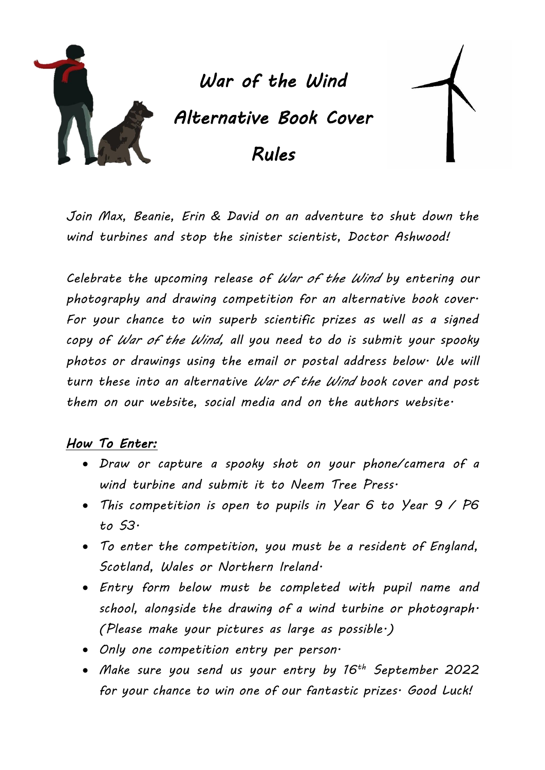

*Join Max, Beanie, Erin & David on an adventure to shut down the wind turbines and stop the sinister scientist, Doctor Ashwood!*

*Celebrate the upcoming release of War of the Wind by entering our photography and drawing competition for an alternative book cover. For your chance to win superb scientific prizes as well as a signed copy of War of the Wind, all you need to do is submit your spooky photos or drawings using the email or postal address below. We will turn these into an alternative War of the Wind book cover and post them on our website, social media and on the authors website.*

### *How To Enter:*

- *Draw or capture a spooky shot on your phone/camera of a wind turbine and submit it to Neem Tree Press.*
- *This competition is open to pupils in Year 6 to Year 9 / P6 to S3.*
- *To enter the competition, you must be a resident of England, Scotland, Wales or Northern Ireland.*
- *Entry form below must be completed with pupil name and school, alongside the drawing of a wind turbine or photograph. (Please make your pictures as large as possible.)*
- *Only one competition entry per person.*
- *Make sure you send us your entry by 16th September 2022 for your chance to win one of our fantastic prizes. Good Luck!*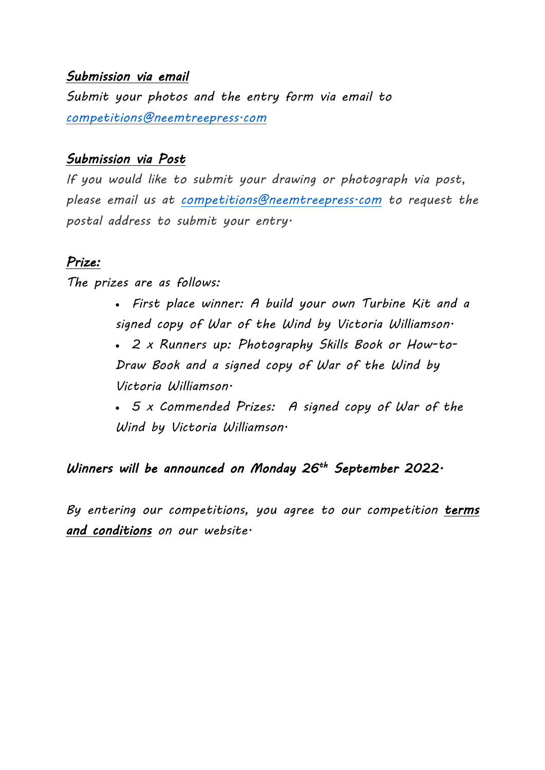#### *Submission via email*

*Submit your photos and the entry form via email to [competitions@neemtreepress.com](mailto:competitions@neemtreepress.com)*

### *Submission via Post*

*If you would like to submit your drawing or photograph via post, please email us at [competitions@neemtreepress.com](mailto:competitions@neemtreepress.com) to request the postal address to submit your entry.*

# *Prize:*

*The prizes are as follows:*

• *First place winner: A build your own Turbine Kit and a signed copy of War of the Wind by Victoria Williamson.*

• *2 x Runners up: Photography Skills Book or How-to-Draw Book and a signed copy of War of the Wind by Victoria Williamson.*

• *5 x Commended Prizes: A signed copy of War of the Wind by Victoria Williamson.*

### *Winners will be announced on Monday 26th September 2022.*

*By entering our competitions, you agree to our competition [terms](https://www.natgeokids.com/uk/kids-club/cool-kids/general-kids-club/standard-competition-ts-cs/)  and conditions [on our website.](https://www.natgeokids.com/uk/kids-club/cool-kids/general-kids-club/standard-competition-ts-cs/)*